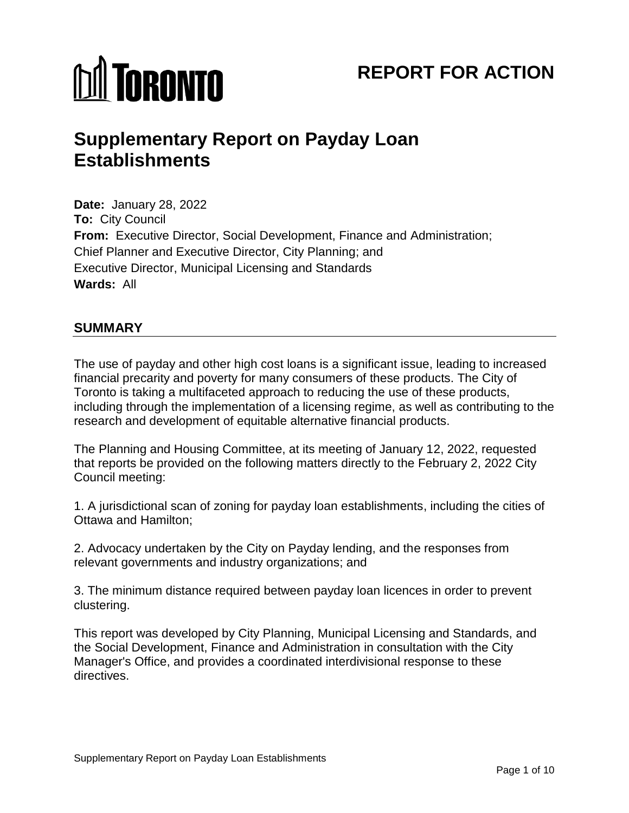# *<u>M</u>* TORONTO

## **REPORT FOR ACTION**

### **Supplementary Report on Payday Loan Establishments**

 **Date:** January 28, 2022 **To:** City Council **From:** Executive Director, Social Development, Finance and Administration; **Wards:** All Chief Planner and Executive Director, City Planning; and Executive Director, Municipal Licensing and Standards

#### **SUMMARY**

 The use of payday and other high cost loans is a significant issue, leading to increased Toronto is taking a multifaceted approach to reducing the use of these products, including through the implementation of a licensing regime, as well as contributing to the financial precarity and poverty for many consumers of these products. The City of research and development of equitable alternative financial products.

 that reports be provided on the following matters directly to the February 2, 2022 City The Planning and Housing Committee, at its meeting of January 12, 2022, requested Council meeting:

 1. A jurisdictional scan of zoning for payday loan establishments, including the cities of Ottawa and Hamilton;

2. Advocacy undertaken by the City on Payday lending, and the responses from relevant governments and industry organizations; and

3. The minimum distance required between payday loan licences in order to prevent clustering.

 Manager's Office, and provides a coordinated interdivisional response to these This report was developed by City Planning, Municipal Licensing and Standards, and the Social Development, Finance and Administration in consultation with the City directives.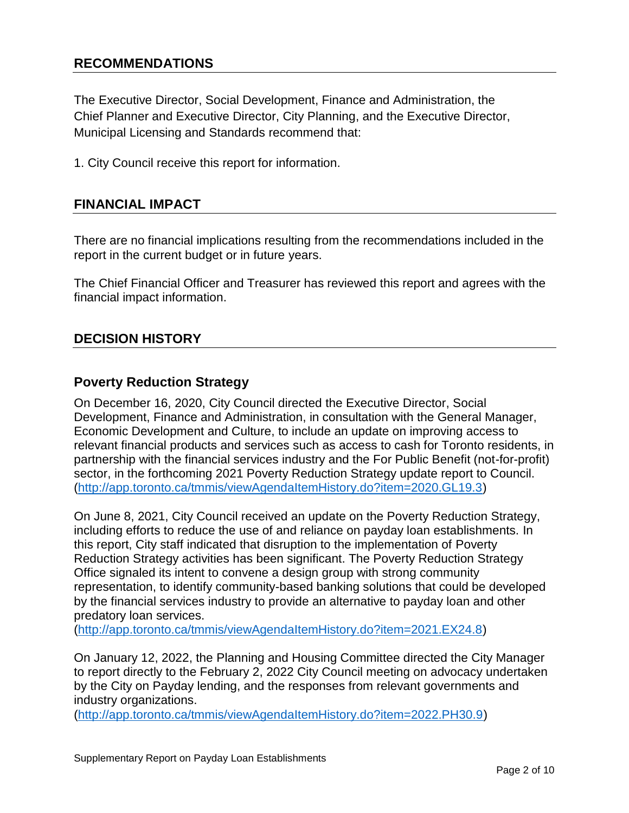#### **RECOMMENDATIONS**

 The Executive Director, Social Development, Finance and Administration, the Municipal Licensing and Standards recommend that: Chief Planner and Executive Director, City Planning, and the Executive Director,

1. City Council receive this report for information.

#### **FINANCIAL IMPACT**

 There are no financial implications resulting from the recommendations included in the report in the current budget or in future years.

The Chief Financial Officer and Treasurer has reviewed this report and agrees with the financial impact information.

#### **DECISION HISTORY**

#### **Poverty Reduction Strategy**

 sector, in the forthcoming 2021 Poverty Reduction Strategy update report to Council. On December 16, 2020, City Council directed the Executive Director, Social Development, Finance and Administration, in consultation with the General Manager, Economic Development and Culture, to include an update on improving access to relevant financial products and services such as access to cash for Toronto residents, in partnership with the financial services industry and the For Public Benefit (not-for-profit) [\(http://app.toronto.ca/tmmis/viewAgendaItemHistory.do?item=2020.GL19.3\)](http://app.toronto.ca/tmmis/viewAgendaItemHistory.do?item=2020.GL19.3)

 including efforts to reduce the use of and reliance on payday loan establishments. In this report, City staff indicated that disruption to the implementation of Poverty Reduction Strategy activities has been significant. The Poverty Reduction Strategy On June 8, 2021, City Council received an update on the Poverty Reduction Strategy, Office signaled its intent to convene a design group with strong community representation, to identify community-based banking solutions that could be developed by the financial services industry to provide an alternative to payday loan and other predatory loan services.

[\(http://app.toronto.ca/tmmis/viewAgendaItemHistory.do?item=2021.EX24.8\)](http://app.toronto.ca/tmmis/viewAgendaItemHistory.do?item=2021.EX24.8)

On January 12, 2022, the Planning and Housing Committee directed the City Manager to report directly to the February 2, 2022 City Council meeting on advocacy undertaken by the City on Payday lending, and the responses from relevant governments and industry organizations.

[\(http://app.toronto.ca/tmmis/viewAgendaItemHistory.do?item=2022.PH30.9\)](http://app.toronto.ca/tmmis/viewAgendaItemHistory.do?item=2022.PH30.9)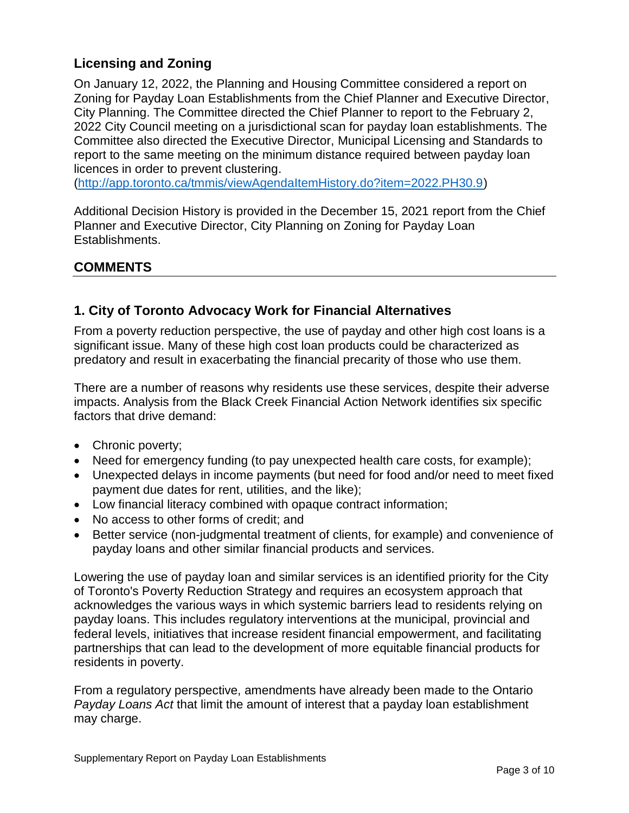#### **Licensing and Zoning**

 On January 12, 2022, the Planning and Housing Committee considered a report on Zoning for Payday Loan Establishments from the Chief Planner and Executive Director, 2022 City Council meeting on a jurisdictional scan for payday loan establishments. The report to the same meeting on the minimum distance required between payday loan City Planning. The Committee directed the Chief Planner to report to the February 2, Committee also directed the Executive Director, Municipal Licensing and Standards to licences in order to prevent clustering.

[\(http://app.toronto.ca/tmmis/viewAgendaItemHistory.do?item=2022.PH30.9\)](http://app.toronto.ca/tmmis/viewAgendaItemHistory.do?item=2022.PH30.9)

 Planner and Executive Director, City Planning on Zoning for Payday Loan Additional Decision History is provided in the December 15, 2021 report from the Chief Establishments.

#### **COMMENTS**

#### **1. City of Toronto Advocacy Work for Financial Alternatives**

 From a poverty reduction perspective, the use of payday and other high cost loans is a predatory and result in exacerbating the financial precarity of those who use them. significant issue. Many of these high cost loan products could be characterized as

 There are a number of reasons why residents use these services, despite their adverse impacts. Analysis from the Black Creek Financial Action Network identifies six specific factors that drive demand:

- Chronic poverty;
- Need for emergency funding (to pay unexpected health care costs, for example);
- Unexpected delays in income payments (but need for food and/or need to meet fixed payment due dates for rent, utilities, and the like);
- Low financial literacy combined with opaque contract information;
- No access to other forms of credit; and
- Better service (non-judgmental treatment of clients, for example) and convenience of payday loans and other similar financial products and services.

 Lowering the use of payday loan and similar services is an identified priority for the City payday loans. This includes regulatory interventions at the municipal, provincial and federal levels, initiatives that increase resident financial empowerment, and facilitating partnerships that can lead to the development of more equitable financial products for of Toronto's Poverty Reduction Strategy and requires an ecosystem approach that acknowledges the various ways in which systemic barriers lead to residents relying on residents in poverty.

From a regulatory perspective, amendments have already been made to the Ontario *[Payday Loans Act](https://www.ontario.ca/laws/statute/S20018#sched16s1)* that limit the amount of interest that a payday loan establishment may charge.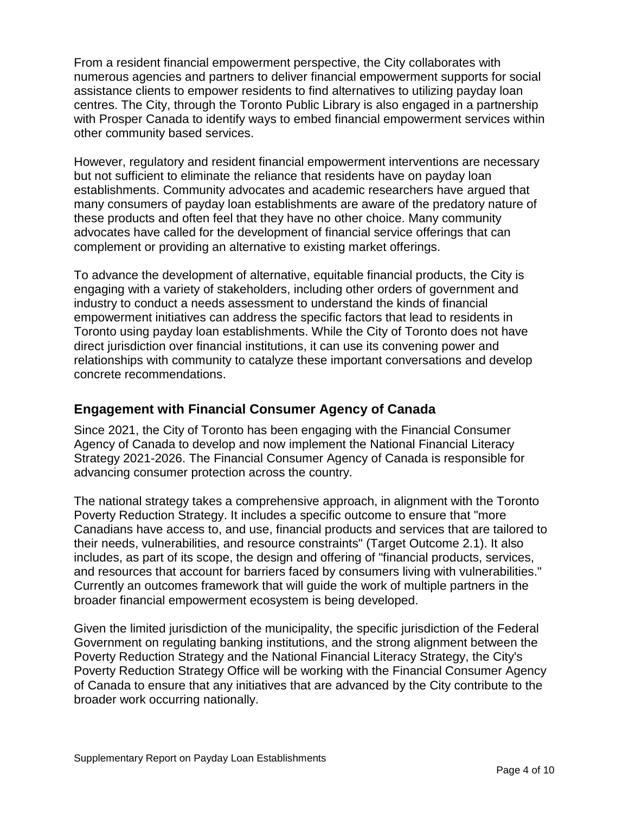From a resident financial empowerment perspective, the City collaborates with numerous agencies and partners to deliver financial empowerment supports for social assistance clients to empower residents to find alternatives to utilizing payday loan centres. The City, through the Toronto Public Library is also engaged in a partnership with Prosper Canada to identify ways to embed financial empowerment services within other community based services.

 establishments. Community advocates and academic researchers have argued that these products and often feel that they have no other choice. Many community However, regulatory and resident financial empowerment interventions are necessary but not sufficient to eliminate the reliance that residents have on payday loan many consumers of payday loan establishments are aware of the predatory nature of advocates have called for the development of financial service offerings that can complement or providing an alternative to existing market offerings.

 industry to conduct a needs assessment to understand the kinds of financial Toronto using payday loan establishments. While the City of Toronto does not have relationships with community to catalyze these important conversations and develop To advance the development of alternative, equitable financial products, the City is engaging with a variety of stakeholders, including other orders of government and empowerment initiatives can address the specific factors that lead to residents in direct jurisdiction over financial institutions, it can use its convening power and concrete recommendations.

#### **Engagement with Financial Consumer Agency of Canada**

 Since 2021, the City of Toronto has been engaging with the Financial Consumer Agency of Canada to develop and now implement the National Financial Literacy Strategy 2021-2026. The Financial Consumer Agency of Canada is responsible for advancing consumer protection across the country.

 The national strategy takes a comprehensive approach, in alignment with the Toronto Canadians have access to, and use, financial products and services that are tailored to their needs, vulnerabilities, and resource constraints" (Target Outcome 2.1). It also includes, as part of its scope, the design and offering of "financial products, services, Poverty Reduction Strategy. It includes a specific outcome to ensure that "more and resources that account for barriers faced by consumers living with vulnerabilities." Currently an outcomes framework that will guide the work of multiple partners in the broader financial empowerment ecosystem is being developed.

 Government on regulating banking institutions, and the strong alignment between the Given the limited jurisdiction of the municipality, the specific jurisdiction of the Federal Poverty Reduction Strategy and the National Financial Literacy Strategy, the City's Poverty Reduction Strategy Office will be working with the Financial Consumer Agency of Canada to ensure that any initiatives that are advanced by the City contribute to the broader work occurring nationally.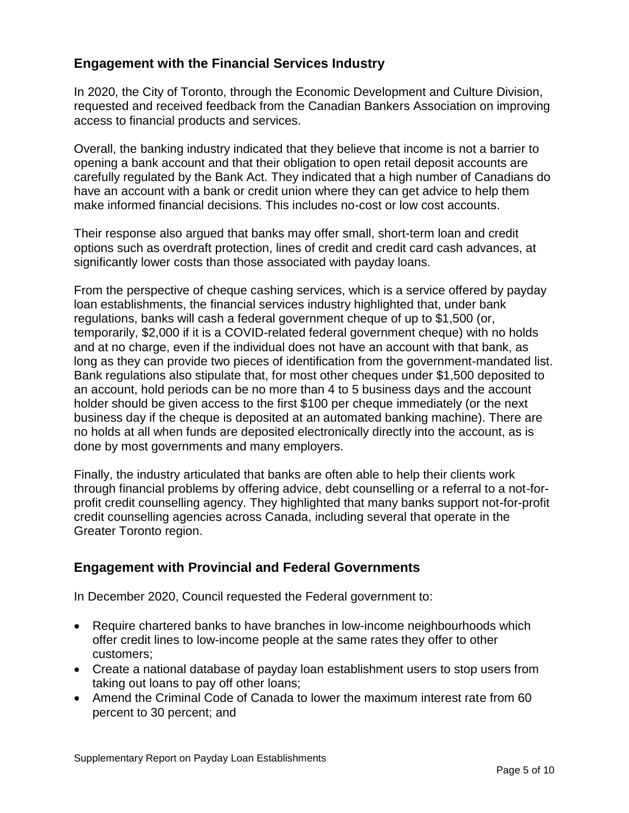#### **Engagement with the Financial Services Industry**

In 2020, the City of Toronto, through the Economic Development and Culture Division, requested and received feedback from the Canadian Bankers Association on improving access to financial products and services.

 Overall, the banking industry indicated that they believe that income is not a barrier to have an account with a bank or credit union where they can get advice to help them opening a bank account and that their obligation to open retail deposit accounts are carefully regulated by the Bank Act. They indicated that a high number of Canadians do make informed financial decisions. This includes no-cost or low cost accounts.

Their response also argued that banks may offer small, short-term loan and credit options such as overdraft protection, lines of credit and credit card cash advances, at significantly lower costs than those associated with payday loans.

 long as they can provide two pieces of identification from the government-mandated list. Bank regulations also stipulate that, for most other cheques under \$1,500 deposited to business day if the cheque is deposited at an automated banking machine). There are From the perspective of cheque cashing services, which is a service offered by payday loan establishments, the financial services industry highlighted that, under bank regulations, banks will cash a federal government cheque of up to \$1,500 (or, temporarily, \$2,000 if it is a COVID-related federal government cheque) with no holds and at no charge, even if the individual does not have an account with that bank, as an account, hold periods can be no more than 4 to 5 business days and the account holder should be given access to the first \$100 per cheque immediately (or the next no holds at all when funds are deposited electronically directly into the account, as is done by most governments and many employers.

 through financial problems by offering advice, debt counselling or a referral to a not-for-Finally, the industry articulated that banks are often able to help their clients work profit credit counselling agency. They highlighted that many banks support not-for-profit credit counselling agencies across Canada, including several that operate in the Greater Toronto region.

#### **Engagement with Provincial and Federal Governments**

In December 2020, Council requested the Federal government to:

- Require chartered banks to have branches in low-income neighbourhoods which offer credit lines to low-income people at the same rates they offer to other customers;
- Create a national database of payday loan establishment users to stop users from taking out loans to pay off other loans;
- Amend the Criminal Code of Canada to lower the maximum interest rate from 60 percent to 30 percent; and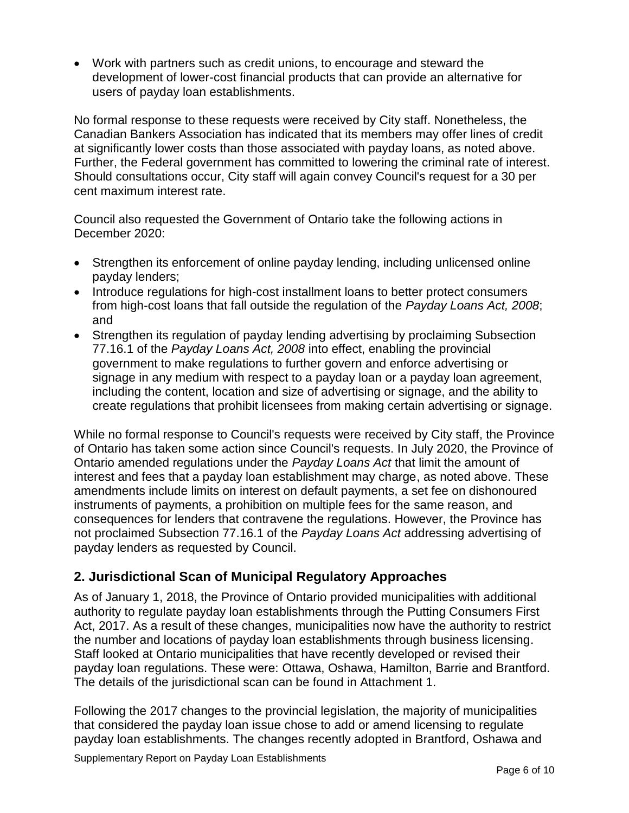Work with partners such as credit unions, to encourage and steward the development of lower-cost financial products that can provide an alternative for users of payday loan establishments.

 No formal response to these requests were received by City staff. Nonetheless, the Further, the Federal government has committed to lowering the criminal rate of interest. Should consultations occur, City staff will again convey Council's request for a 30 per Canadian Bankers Association has indicated that its members may offer lines of credit at significantly lower costs than those associated with payday loans, as noted above. cent maximum interest rate.

 Council also requested the Government of Ontario take the following actions in December 2020:

- Strengthen its enforcement of online payday lending, including unlicensed online payday lenders;
- from high-cost loans that fall outside the regulation of the *Payday Loans Act, 2008*; • Introduce regulations for high-cost installment loans to better protect consumers and
- 77.16.1 of the *Payday Loans Act, 2008* into effect, enabling the provincial Strengthen its regulation of payday lending advertising by proclaiming Subsection government to make regulations to further govern and enforce advertising or signage in any medium with respect to a payday loan or a payday loan agreement, including the content, location and size of advertising or signage, and the ability to create regulations that prohibit licensees from making certain advertising or signage.

 Ontario amended regulations under the *Payday Loans Act* that limit the amount of interest and fees that a payday loan establishment may charge, as noted above. These instruments of payments, a prohibition on multiple fees for the same reason, and not proclaimed Subsection 77.16.1 of the *Payday Loans Act* addressing advertising of While no formal response to Council's requests were received by City staff, the Province of Ontario has taken some action since Council's requests. In July 2020, the Province of amendments include limits on interest on default payments, a set fee on dishonoured consequences for lenders that contravene the regulations. However, the Province has payday lenders as requested by Council.

#### **2. Jurisdictional Scan of Municipal Regulatory Approaches**

 As of January 1, 2018, the Province of Ontario provided municipalities with additional Staff looked at Ontario municipalities that have recently developed or revised their The details of the jurisdictional scan can be found in Attachment 1. authority to regulate payday loan establishments through the Putting Consumers First Act, 2017. As a result of these changes, municipalities now have the authority to restrict the number and locations of payday loan establishments through business licensing. payday loan regulations. These were: Ottawa, Oshawa, Hamilton, Barrie and Brantford.

 Following the 2017 changes to the provincial legislation, the majority of municipalities that considered the payday loan issue chose to add or amend licensing to regulate payday loan establishments. The changes recently adopted in Brantford, Oshawa and

Supplementary Report on Payday Loan Establishments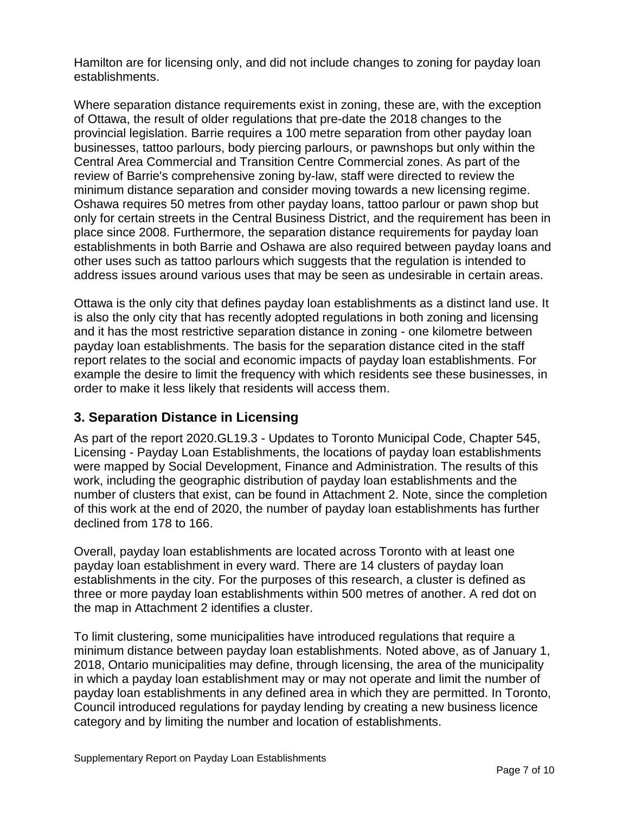Hamilton are for licensing only, and did not include changes to zoning for payday loan establishments.

 provincial legislation. Barrie requires a 100 metre separation from other payday loan businesses, tattoo parlours, body piercing parlours, or pawnshops but only within the minimum distance separation and consider moving towards a new licensing regime. Oshawa requires 50 metres from other payday loans, tattoo parlour or pawn shop but Where separation distance requirements exist in zoning, these are, with the exception of Ottawa, the result of older regulations that pre-date the 2018 changes to the Central Area Commercial and Transition Centre Commercial zones. As part of the review of Barrie's comprehensive zoning by-law, staff were directed to review the only for certain streets in the Central Business District, and the requirement has been in place since 2008. Furthermore, the separation distance requirements for payday loan establishments in both Barrie and Oshawa are also required between payday loans and other uses such as tattoo parlours which suggests that the regulation is intended to address issues around various uses that may be seen as undesirable in certain areas.

 Ottawa is the only city that defines payday loan establishments as a distinct land use. It is also the only city that has recently adopted regulations in both zoning and licensing and it has the most restrictive separation distance in zoning - one kilometre between payday loan establishments. The basis for the separation distance cited in the staff example the desire to limit the frequency with which residents see these businesses, in order to make it less likely that residents will access them. report relates to the social and economic impacts of payday loan establishments. For

#### **3. Separation Distance in Licensing**

 As part of the report 2020.GL19.3 - Updates to Toronto Municipal Code, Chapter 545, Licensing - Payday Loan Establishments, the locations of payday loan establishments number of clusters that exist, can be found in Attachment 2. Note, since the completion of this work at the end of 2020, the number of payday loan establishments has further were mapped by Social Development, Finance and Administration. The results of this work, including the geographic distribution of payday loan establishments and the declined from 178 to 166.

 Overall, payday loan establishments are located across Toronto with at least one three or more payday loan establishments within 500 metres of another. A red dot on the map in Attachment 2 identifies a cluster. payday loan establishment in every ward. There are 14 clusters of payday loan establishments in the city. For the purposes of this research, a cluster is defined as

 minimum distance between payday loan establishments. Noted above, as of January 1, To limit clustering, some municipalities have introduced regulations that require a 2018, Ontario municipalities may define, through licensing, the area of the municipality in which a payday loan establishment may or may not operate and limit the number of payday loan establishments in any defined area in which they are permitted. In Toronto, Council introduced regulations for payday lending by creating a new business licence category and by limiting the number and location of establishments.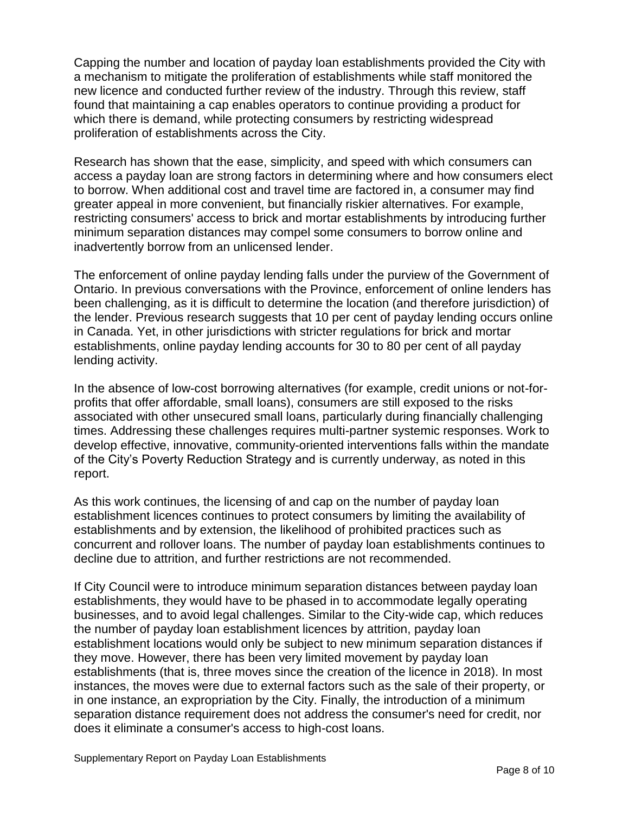Capping the number and location of payday loan establishments provided the City with a mechanism to mitigate the proliferation of establishments while staff monitored the new licence and conducted further review of the industry. Through this review, staff found that maintaining a cap enables operators to continue providing a product for which there is demand, while protecting consumers by restricting widespread proliferation of establishments across the City.

 access a payday loan are strong factors in determining where and how consumers elect to borrow. When additional cost and travel time are factored in, a consumer may find inadvertently borrow from an unlicensed lender. Research has shown that the ease, simplicity, and speed with which consumers can greater appeal in more convenient, but financially riskier alternatives. For example, restricting consumers' access to brick and mortar establishments by introducing further minimum separation distances may compel some consumers to borrow online and

 the lender. Previous research suggests that 10 per cent of payday lending occurs online establishments, online payday lending accounts for 30 to 80 per cent of all payday The enforcement of online payday lending falls under the purview of the Government of Ontario. In previous conversations with the Province, enforcement of online lenders has been challenging, as it is difficult to determine the location (and therefore jurisdiction) of in Canada. Yet, in other jurisdictions with stricter regulations for brick and mortar lending activity.

In the absence of low-cost borrowing alternatives (for example, credit unions or not-forprofits that offer affordable, small loans), consumers are still exposed to the risks associated with other unsecured small loans, particularly during financially challenging times. Addressing these challenges requires multi-partner systemic responses. Work to develop effective, innovative, community-oriented interventions falls within the mandate of the City's Poverty Reduction Strategy and is currently underway, as noted in this report.

 establishments and by extension, the likelihood of prohibited practices such as concurrent and rollover loans. The number of payday loan establishments continues to decline due to attrition, and further restrictions are not recommended. As this work continues, the licensing of and cap on the number of payday loan establishment licences continues to protect consumers by limiting the availability of

 establishments, they would have to be phased in to accommodate legally operating businesses, and to avoid legal challenges. Similar to the City-wide cap, which reduces the number of payday loan establishment licences by attrition, payday loan establishment locations would only be subject to new minimum separation distances if establishments (that is, three moves since the creation of the licence in 2018). In most in one instance, an expropriation by the City. Finally, the introduction of a minimum If City Council were to introduce minimum separation distances between payday loan they move. However, there has been very limited movement by payday loan instances, the moves were due to external factors such as the sale of their property, or separation distance requirement does not address the consumer's need for credit, nor does it eliminate a consumer's access to high-cost loans.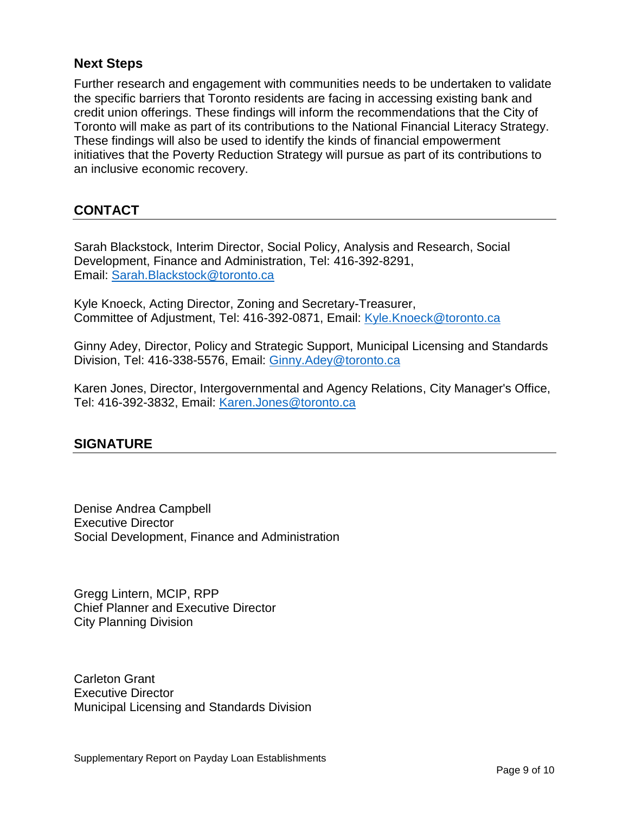#### **Next Steps**

 the specific barriers that Toronto residents are facing in accessing existing bank and credit union offerings. These findings will inform the recommendations that the City of initiatives that the Poverty Reduction Strategy will pursue as part of its contributions to Further research and engagement with communities needs to be undertaken to validate Toronto will make as part of its contributions to the National Financial Literacy Strategy. These findings will also be used to identify the kinds of financial empowerment an inclusive economic recovery.

#### **CONTACT**

Email: Sarah.Blackstock@toronto.ca Sarah Blackstock, Interim Director, Social Policy, Analysis and Research, Social Development, Finance and Administration, Tel: 416-392-8291,

Committee of Adjustment, Tel: 416-392-0871, Email: Kyle.Knoeck@toronto.ca Kyle Knoeck, Acting Director, Zoning and Secretary-Treasurer,

Committee of Adjustment, Tel: 416-392-0871, Email: <u>Kyle.Knoeck@toronto.ca</u><br>Ginny Adey, Director, Policy and Strategic Support, Municipal Licensing and Standards Division, Tel: 416-338-5576, Email: [Ginny.Adey@toronto.ca](mailto:Ginny.Adey@toronto.ca) 

Karen Jones, Director, Intergovernmental and Agency Relations, City Manager's Office, Tel: 416-392-3832, Email: [Karen.Jones@toronto.ca](mailto:Karen.Jones@toronto.ca) 

#### **SIGNATURE**

Denise Andrea Campbell Executive Director Social Development, Finance and Administration

Gregg Lintern, MCIP, RPP Chief Planner and Executive Director City Planning Division

Carleton Grant Executive Director Municipal Licensing and Standards Division